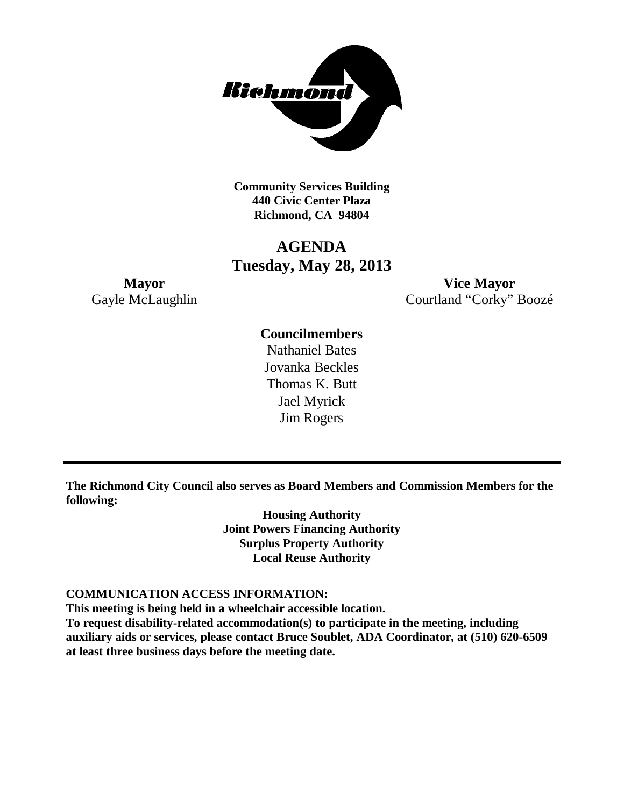

**Community Services Building 440 Civic Center Plaza Richmond, CA 94804**

### **AGENDA Tuesday, May 28, 2013**

**Mayor Vice Mayor** Gayle McLaughlin Courtland "Corky" Boozé

### **Councilmembers**

Nathaniel Bates Jovanka Beckles Thomas K. Butt Jael Myrick Jim Rogers

**The Richmond City Council also serves as Board Members and Commission Members for the following:**

> **Housing Authority Joint Powers Financing Authority Surplus Property Authority Local Reuse Authority**

#### **COMMUNICATION ACCESS INFORMATION:**

**This meeting is being held in a wheelchair accessible location.**

**To request disability-related accommodation(s) to participate in the meeting, including auxiliary aids or services, please contact Bruce Soublet, ADA Coordinator, at (510) 620-6509 at least three business days before the meeting date.**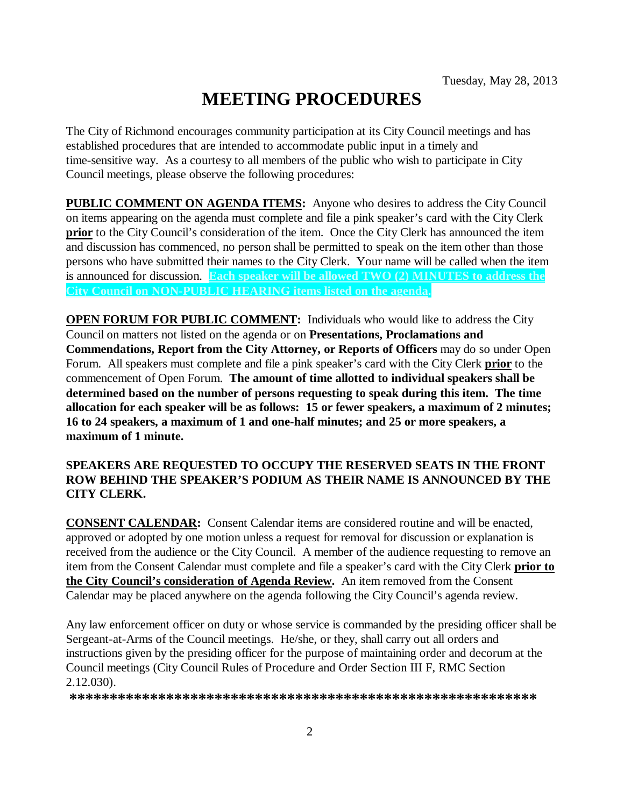# **MEETING PROCEDURES**

The City of Richmond encourages community participation at its City Council meetings and has established procedures that are intended to accommodate public input in a timely and time-sensitive way. As a courtesy to all members of the public who wish to participate in City Council meetings, please observe the following procedures:

**PUBLIC COMMENT ON AGENDA ITEMS:** Anyone who desires to address the City Council on items appearing on the agenda must complete and file a pink speaker's card with the City Clerk **prior** to the City Council's consideration of the item. Once the City Clerk has announced the item and discussion has commenced, no person shall be permitted to speak on the item other than those persons who have submitted their names to the City Clerk. Your name will be called when the item is announced for discussion. **Each speaker will be allowed TWO (2) MINUTES to address the City Council on NON-PUBLIC HEARING items listed on the agenda.**

**OPEN FORUM FOR PUBLIC COMMENT:** Individuals who would like to address the City Council on matters not listed on the agenda or on **Presentations, Proclamations and Commendations, Report from the City Attorney, or Reports of Officers** may do so under Open Forum. All speakers must complete and file a pink speaker's card with the City Clerk **prior** to the commencement of Open Forum. **The amount of time allotted to individual speakers shall be determined based on the number of persons requesting to speak during this item. The time allocation for each speaker will be as follows: 15 or fewer speakers, a maximum of 2 minutes; 16 to 24 speakers, a maximum of 1 and one-half minutes; and 25 or more speakers, a maximum of 1 minute.**

#### **SPEAKERS ARE REQUESTED TO OCCUPY THE RESERVED SEATS IN THE FRONT ROW BEHIND THE SPEAKER'S PODIUM AS THEIR NAME IS ANNOUNCED BY THE CITY CLERK.**

**CONSENT CALENDAR:** Consent Calendar items are considered routine and will be enacted, approved or adopted by one motion unless a request for removal for discussion or explanation is received from the audience or the City Council. A member of the audience requesting to remove an item from the Consent Calendar must complete and file a speaker's card with the City Clerk **prior to the City Council's consideration of Agenda Review.** An item removed from the Consent Calendar may be placed anywhere on the agenda following the City Council's agenda review.

Any law enforcement officer on duty or whose service is commanded by the presiding officer shall be Sergeant-at-Arms of the Council meetings. He/she, or they, shall carry out all orders and instructions given by the presiding officer for the purpose of maintaining order and decorum at the Council meetings (City Council Rules of Procedure and Order Section III F, RMC Section 2.12.030).

**\*\*\*\*\*\*\*\*\*\*\*\*\*\*\*\*\*\*\*\*\*\*\*\*\*\*\*\*\*\*\*\*\*\*\*\*\*\*\*\*\*\*\*\*\*\*\*\*\*\*\*\*\*\*\*\*\*\***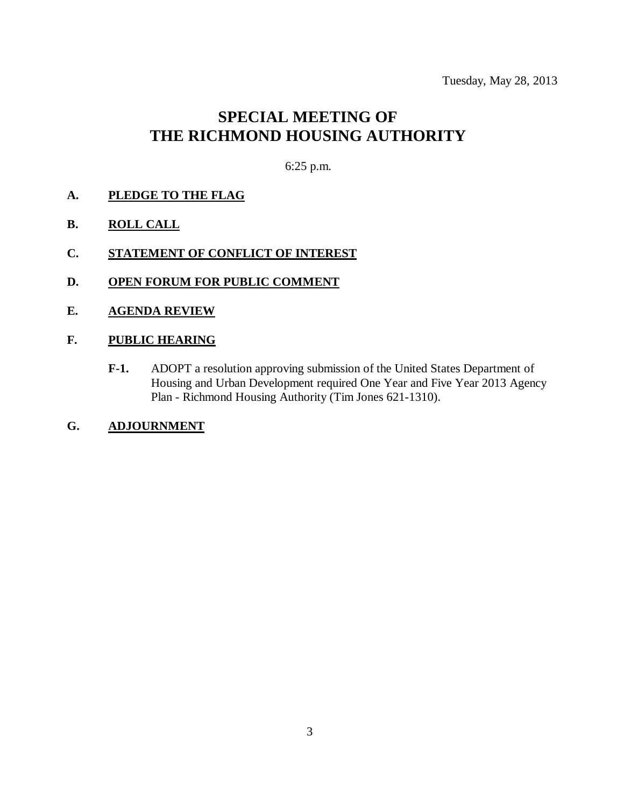Tuesday, May 28, 2013

## **SPECIAL MEETING OF THE RICHMOND HOUSING AUTHORITY**

6:25 p.m.

- **A. PLEDGE TO THE FLAG**
- **B. ROLL CALL**
- **C. STATEMENT OF CONFLICT OF INTEREST**
- **D. OPEN FORUM FOR PUBLIC COMMENT**
- **E. AGENDA REVIEW**
- **F. PUBLIC HEARING**
	- **F-1.** ADOPT a resolution approving submission of the United States Department of Housing and Urban Development required One Year and Five Year 2013 Agency Plan - Richmond Housing Authority (Tim Jones 621-1310).
- **G. ADJOURNMENT**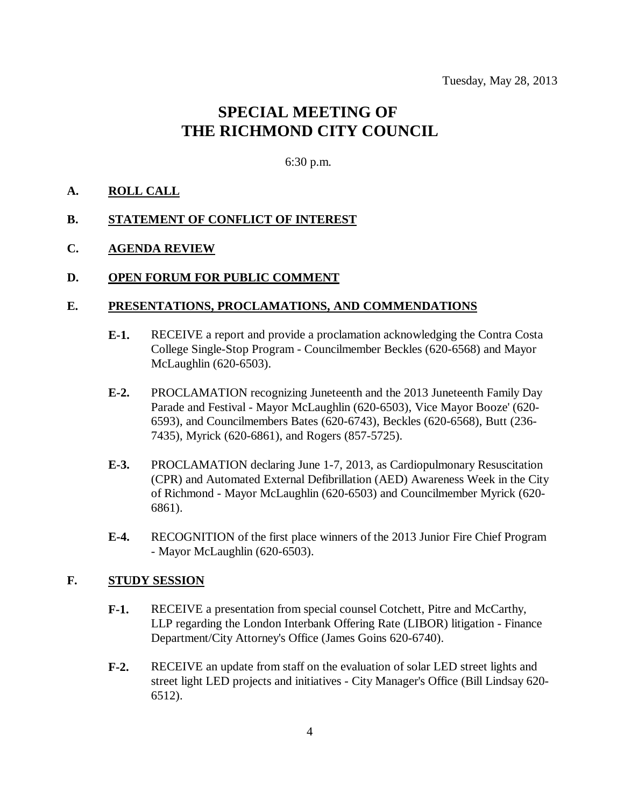### **SPECIAL MEETING OF THE RICHMOND CITY COUNCIL**

6:30 p.m.

#### **A. ROLL CALL**

#### **B. STATEMENT OF CONFLICT OF INTEREST**

#### **C. AGENDA REVIEW**

#### **D. OPEN FORUM FOR PUBLIC COMMENT**

#### **E. PRESENTATIONS, PROCLAMATIONS, AND COMMENDATIONS**

- **E-1.** RECEIVE a report and provide a proclamation acknowledging the Contra Costa College Single-Stop Program - Councilmember Beckles (620-6568) and Mayor McLaughlin (620-6503).
- **E-2.** PROCLAMATION recognizing Juneteenth and the 2013 Juneteenth Family Day Parade and Festival - Mayor McLaughlin (620-6503), Vice Mayor Booze' (620- 6593), and Councilmembers Bates (620-6743), Beckles (620-6568), Butt (236- 7435), Myrick (620-6861), and Rogers (857-5725).
- **E-3.** PROCLAMATION declaring June 1-7, 2013, as Cardiopulmonary Resuscitation (CPR) and Automated External Defibrillation (AED) Awareness Week in the City of Richmond - Mayor McLaughlin (620-6503) and Councilmember Myrick (620- 6861).
- **E-4.** RECOGNITION of the first place winners of the 2013 Junior Fire Chief Program - Mayor McLaughlin (620-6503).

#### **F. STUDY SESSION**

- **F-1.** RECEIVE a presentation from special counsel Cotchett, Pitre and McCarthy, LLP regarding the London Interbank Offering Rate (LIBOR) litigation - Finance Department/City Attorney's Office (James Goins 620-6740).
- **F-2.** RECEIVE an update from staff on the evaluation of solar LED street lights and street light LED projects and initiatives - City Manager's Office (Bill Lindsay 620- 6512).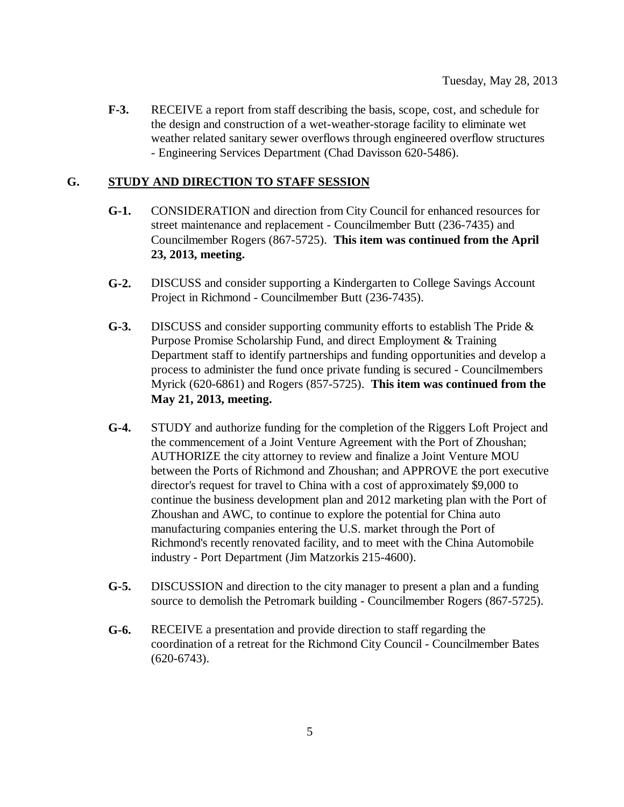**F-3.** RECEIVE a report from staff describing the basis, scope, cost, and schedule for the design and construction of a wet-weather-storage facility to eliminate wet weather related sanitary sewer overflows through engineered overflow structures - Engineering Services Department (Chad Davisson 620-5486).

#### **G. STUDY AND DIRECTION TO STAFF SESSION**

- **G-1.** CONSIDERATION and direction from City Council for enhanced resources for street maintenance and replacement - Councilmember Butt (236-7435) and Councilmember Rogers (867-5725). **This item was continued from the April 23, 2013, meeting.**
- **G-2.** DISCUSS and consider supporting a Kindergarten to College Savings Account Project in Richmond - Councilmember Butt (236-7435).
- **G-3.** DISCUSS and consider supporting community efforts to establish The Pride & Purpose Promise Scholarship Fund, and direct Employment & Training Department staff to identify partnerships and funding opportunities and develop a process to administer the fund once private funding is secured - Councilmembers Myrick (620-6861) and Rogers (857-5725). **This item was continued from the May 21, 2013, meeting.**
- **G-4.** STUDY and authorize funding for the completion of the Riggers Loft Project and the commencement of a Joint Venture Agreement with the Port of Zhoushan; AUTHORIZE the city attorney to review and finalize a Joint Venture MOU between the Ports of Richmond and Zhoushan; and APPROVE the port executive director's request for travel to China with a cost of approximately \$9,000 to continue the business development plan and 2012 marketing plan with the Port of Zhoushan and AWC, to continue to explore the potential for China auto manufacturing companies entering the U.S. market through the Port of Richmond's recently renovated facility, and to meet with the China Automobile industry - Port Department (Jim Matzorkis 215-4600).
- **G-5.** DISCUSSION and direction to the city manager to present a plan and a funding source to demolish the Petromark building - Councilmember Rogers (867-5725).
- **G-6.** RECEIVE a presentation and provide direction to staff regarding the coordination of a retreat for the Richmond City Council - Councilmember Bates (620-6743).